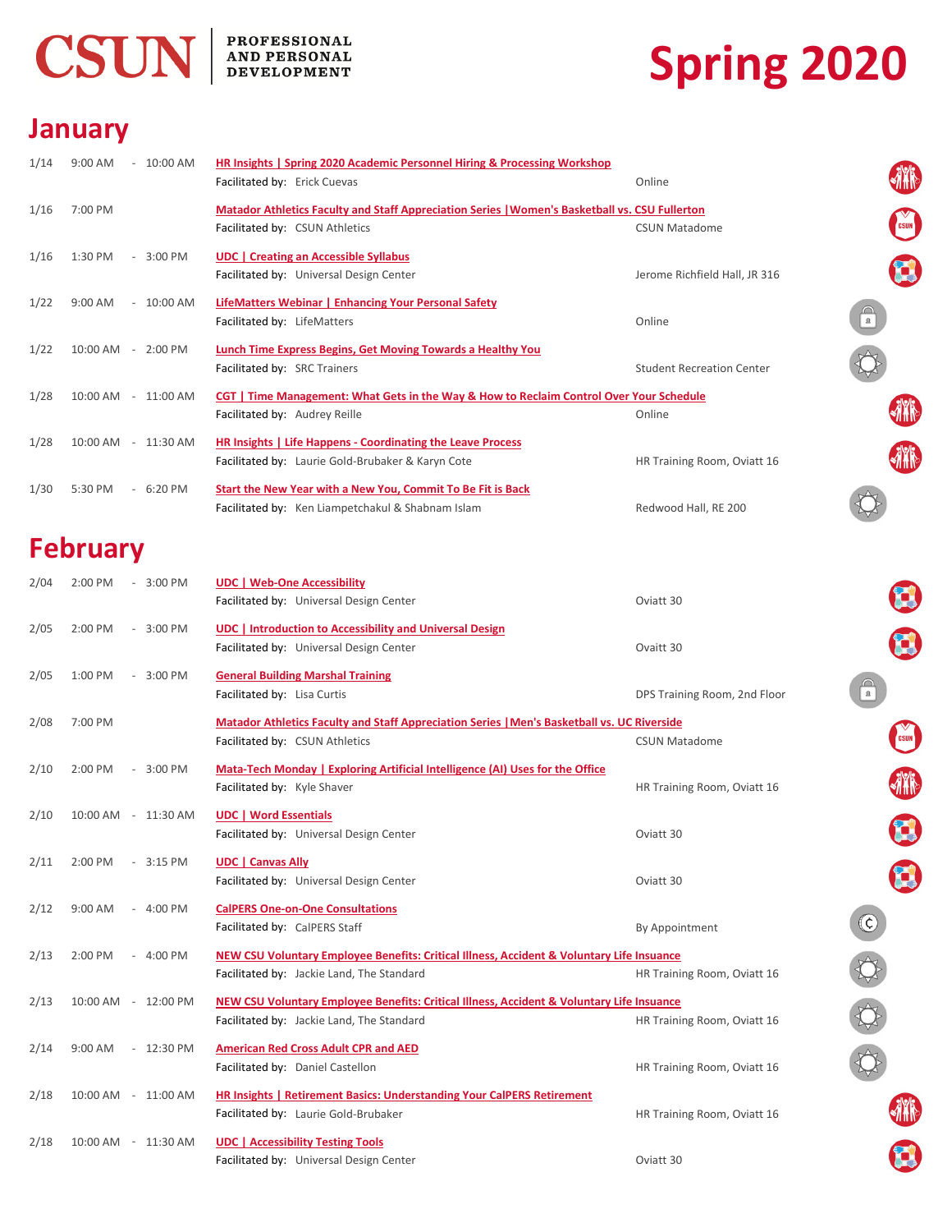

## **PROFESSIONAL<br>AND PERSONAL<br>DEVELOPMENT**

# **Spring 2020**

8

10000

E

#### **January**

| 1/14 | 9:00 AM<br>$-10:00$ AM    | <b>HR Insights   Spring 2020 Academic Personnel Hiring &amp; Processing Workshop</b>           |                                  |              |
|------|---------------------------|------------------------------------------------------------------------------------------------|----------------------------------|--------------|
|      |                           | Facilitated by: Erick Cuevas                                                                   | Online                           | 林            |
| 1/16 | 7:00 PM                   | Matador Athletics Faculty and Staff Appreciation Series   Women's Basketball vs. CSU Fullerton |                                  |              |
|      |                           | Facilitated by: CSUN Athletics                                                                 | <b>CSUN Matadome</b>             | <b>CSUN</b>  |
| 1/16 | 1:30 PM<br>$-3:00$ PM     | <b>UDC</b>   Creating an Accessible Syllabus                                                   |                                  |              |
|      |                           | Facilitated by: Universal Design Center                                                        | Jerome Richfield Hall, JR 316    |              |
| 1/22 | $9:00$ AM<br>$-10:00$ AM  | LifeMatters Webinar   Enhancing Your Personal Safety                                           |                                  |              |
|      |                           | Facilitated by: LifeMatters                                                                    | Online                           | $\mathbb{R}$ |
| 1/22 | 10:00 AM - 2:00 PM        | Lunch Time Express Begins, Get Moving Towards a Healthy You                                    |                                  |              |
|      |                           | Facilitated by: SRC Trainers                                                                   | <b>Student Recreation Center</b> |              |
| 1/28 | $10:00$ AM<br>$-11:00$ AM | CGT   Time Management: What Gets in the Way & How to Reclaim Control Over Your Schedule        |                                  |              |
|      |                           | Facilitated by: Audrey Reille                                                                  | Online                           |              |
| 1/28 | 10:00 AM<br>$-11:30$ AM   | HR Insights   Life Happens - Coordinating the Leave Process                                    |                                  |              |
|      |                           | Facilitated by: Laurie Gold-Brubaker & Karyn Cote                                              | HR Training Room, Oviatt 16      | 狦            |
| 1/30 | 5:30 PM<br>$-6:20$ PM     | Start the New Year with a New You, Commit To Be Fit is Back                                    |                                  |              |
|      |                           | Facilitated by: Ken Liampetchakul & Shabnam Islam                                              | Redwood Hall, RE 200             |              |
|      | E a la secretario         |                                                                                                |                                  |              |

### **February**

| 2/04 | 2:00 PM<br>3:00 PM<br>$\sim$ | <b>UDC   Web-One Accessibility</b>                                                                 |                              |                   |
|------|------------------------------|----------------------------------------------------------------------------------------------------|------------------------------|-------------------|
|      |                              | Facilitated by: Universal Design Center                                                            | Oviatt 30                    |                   |
| 2/05 | 3:00 PM<br>2:00 PM<br>$\sim$ | <b>UDC</b>   Introduction to Accessibility and Universal Design                                    |                              |                   |
|      |                              | Facilitated by: Universal Design Center                                                            | Ovaitt 30                    |                   |
| 2/05 | 1:00 PM<br>3:00 PM<br>$\sim$ | <b>General Building Marshal Training</b>                                                           |                              |                   |
|      |                              | Facilitated by: Lisa Curtis                                                                        | DPS Training Room, 2nd Floor | $\mathbf{R}$      |
| 2/08 | 7:00 PM                      | <b>Matador Athletics Faculty and Staff Appreciation Series   Men's Basketball vs. UC Riverside</b> |                              |                   |
|      |                              | Facilitated by: CSUN Athletics                                                                     | <b>CSUN Matadome</b>         |                   |
| 2/10 | 3:00 PM<br>2:00 PM<br>$\sim$ | Mata-Tech Monday   Exploring Artificial Intelligence (AI) Uses for the Office                      |                              |                   |
|      |                              | Facilitated by: Kyle Shaver                                                                        | HR Training Room, Oviatt 16  |                   |
| 2/10 | 10:00 AM - 11:30 AM          | <b>UDC   Word Essentials</b>                                                                       |                              |                   |
|      |                              | Facilitated by: Universal Design Center                                                            | Oviatt 30                    |                   |
| 2/11 | 2:00 PM<br>$-3:15$ PM        | <b>UDC   Canvas Ally</b>                                                                           |                              |                   |
|      |                              | Facilitated by: Universal Design Center                                                            | Oviatt 30                    |                   |
| 2/12 | $-4:00$ PM<br>9:00 AM        | <b>CalPERS One-on-One Consultations</b>                                                            |                              |                   |
|      |                              | Facilitated by: CalPERS Staff                                                                      | By Appointment               | $\left( 6\right)$ |
| 2/13 | 2:00 PM<br>$-4:00$ PM        | NEW CSU Voluntary Employee Benefits: Critical Illness, Accident & Voluntary Life Insuance          |                              |                   |
|      |                              | Facilitated by: Jackie Land, The Standard                                                          | HR Training Room, Oviatt 16  |                   |
| 2/13 | 10:00 AM - 12:00 PM          | NEW CSU Voluntary Employee Benefits: Critical Illness, Accident & Voluntary Life Insuance          |                              |                   |
|      |                              | Facilitated by: Jackie Land, The Standard                                                          | HR Training Room, Oviatt 16  |                   |
| 2/14 | $9:00$ AM<br>$-12:30$ PM     | <b>American Red Cross Adult CPR and AED</b>                                                        |                              |                   |
|      |                              | Facilitated by: Daniel Castellon                                                                   | HR Training Room, Oviatt 16  |                   |
| 2/18 | 10:00 AM - 11:00 AM          | HR Insights   Retirement Basics: Understanding Your CalPERS Retirement                             |                              |                   |
|      |                              | Facilitated by: Laurie Gold-Brubaker                                                               | HR Training Room, Oviatt 16  |                   |
| 2/18 | 10:00 AM - 11:30 AM          |                                                                                                    |                              |                   |
|      |                              | <b>UDC   Accessibility Testing Tools</b><br>Facilitated by: Universal Design Center                | Oviatt 30                    |                   |
|      |                              |                                                                                                    |                              |                   |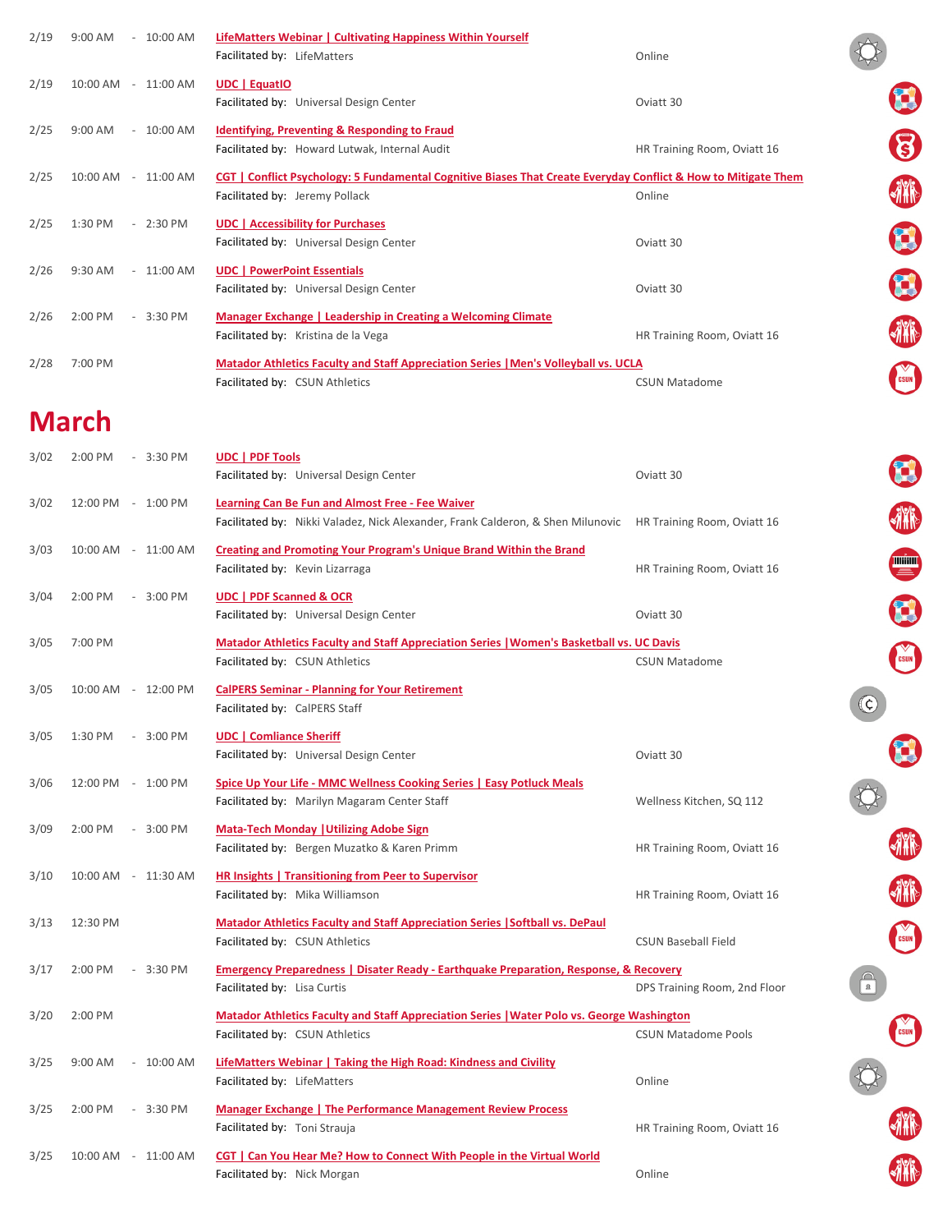| 2/19 | 9:00 AM<br>$-10:00$ AM       | <b>LifeMatters Webinar   Cultivating Happiness Within Yourself</b><br>Facilitated by: LifeMatters                                                       | Online                       |                         |
|------|------------------------------|---------------------------------------------------------------------------------------------------------------------------------------------------------|------------------------------|-------------------------|
| 2/19 | 10:00 AM - 11:00 AM          | <b>UDC</b>   EquatIO<br>Facilitated by: Universal Design Center                                                                                         | Oviatt 30                    |                         |
| 2/25 | $-10:00$ AM<br>9:00 AM       | <b>Identifying, Preventing &amp; Responding to Fraud</b><br>Facilitated by: Howard Lutwak, Internal Audit                                               | HR Training Room, Oviatt 16  | $\bm{g}$                |
| 2/25 | 10:00 AM - 11:00 AM          | <b>CGT</b>   Conflict Psychology: 5 Fundamental Cognitive Biases That Create Everyday Conflict & How to Mitigate Them<br>Facilitated by: Jeremy Pollack | Online                       | <b>AYR</b>              |
| 2/25 | 1:30 PM<br>$-2:30$ PM        | <b>UDC</b>   Accessibility for Purchases<br>Facilitated by: Universal Design Center                                                                     | Oviatt 30                    | $\mathbf{C}$            |
| 2/26 | 9:30 AM<br>$-11:00$ AM       | <b>UDC</b>   PowerPoint Essentials<br>Facilitated by: Universal Design Center                                                                           | Oviatt 30                    | $\mathbf{C}$            |
| 2/26 | 2:00 PM<br>$-3:30$ PM        | <b>Manager Exchange   Leadership in Creating a Welcoming Climate</b><br>Facilitated by: Kristina de la Vega                                             | HR Training Room, Oviatt 16  |                         |
| 2/28 | 7:00 PM                      | <b>Matador Athletics Faculty and Staff Appreciation Series   Men's Volleyball vs. UCLA</b><br>Facilitated by: CSUN Athletics                            | <b>CSUN Matadome</b>         | <b>CSUN</b>             |
|      | <b>March</b>                 |                                                                                                                                                         |                              |                         |
| 3/02 | 2:00 PM<br>$-3:30$ PM        | UDC   PDF Tools<br>Facilitated by: Universal Design Center                                                                                              | Oviatt 30                    | $\mathbf{C}$            |
| 3/02 | 12:00 PM - 1:00 PM           | <b>Learning Can Be Fun and Almost Free - Fee Waiver</b><br>Facilitated by: Nikki Valadez, Nick Alexander, Frank Calderon, & Shen Milunovic              | HR Training Room, Oviatt 16  | <b>AYR</b>              |
| 3/03 | 10:00 AM - 11:00 AM          | <b>Creating and Promoting Your Program's Unique Brand Within the Brand</b><br>Facilitated by: Kevin Lizarraga                                           | HR Training Room, Oviatt 16  | <b>THE SET OF STATE</b> |
| 3/04 | 2:00 PM<br>$-3:00$ PM        | <b>UDC   PDF Scanned &amp; OCR</b><br>Facilitated by: Universal Design Center                                                                           | Oviatt 30                    | $\mathbf{C}$            |
| 3/05 | 7:00 PM                      | Matador Athletics Faculty and Staff Appreciation Series   Women's Basketball vs. UC Davis<br>Facilitated by: CSUN Athletics                             | <b>CSUN Matadome</b>         | CSUN                    |
| 3/05 | 10:00 AM - 12:00 PM          | <b>CalPERS Seminar - Planning for Your Retirement</b><br>Facilitated by: CalPERS Staff                                                                  |                              | (C)                     |
| 3/05 | 1:30 PM<br>$-3:00$ PM        | <b>UDC</b>   Comliance Sheriff<br>Facilitated by: Universal Design Center                                                                               | Oviatt 30                    |                         |
| 3/06 | 12:00 PM - 1:00 PM           | Spice Up Your Life - MMC Wellness Cooking Series   Easy Potluck Meals<br>Facilitated by: Marilyn Magaram Center Staff                                   | Wellness Kitchen, SQ 112     |                         |
| 3/09 | $-3:00$ PM<br>2:00 PM        | <b>Mata-Tech Monday   Utilizing Adobe Sign</b><br>Facilitated by: Bergen Muzatko & Karen Primm                                                          | HR Training Room, Oviatt 16  |                         |
| 3/10 | 10:00 AM - 11:30 AM          | <b>HR Insights   Transitioning from Peer to Supervisor</b><br>Facilitated by: Mika Williamson                                                           | HR Training Room, Oviatt 16  |                         |
| 3/13 | 12:30 PM                     | <b>Matador Athletics Faculty and Staff Appreciation Series   Softball vs. DePaul</b><br>Facilitated by: CSUN Athletics                                  | <b>CSUN Baseball Field</b>   | <b>CSUN</b>             |
| 3/17 | 2:00 PM<br>3:30 PM<br>$\sim$ | <b>Emergency Preparedness   Disater Ready - Earthquake Preparation, Response, &amp; Recovery</b><br>Facilitated by: Lisa Curtis                         | DPS Training Room, 2nd Floor |                         |
| 3/20 | 2:00 PM                      | Matador Athletics Faculty and Staff Appreciation Series   Water Polo vs. George Washington<br>Facilitated by: CSUN Athletics                            | <b>CSUN Matadome Pools</b>   |                         |
| 3/25 | $-10:00$ AM<br>$9:00$ AM     | <b>LifeMatters Webinar   Taking the High Road: Kindness and Civility</b><br>Facilitated by: LifeMatters                                                 | Online                       |                         |
| 3/25 | 2:00 PM<br>$-3:30$ PM        | <b>Manager Exchange   The Performance Management Review Process</b><br>Facilitated by: Toni Strauja                                                     | HR Training Room, Oviatt 16  |                         |
| 3/25 | 10:00 AM - 11:00 AM          | <b>CGT</b>   Can You Hear Me? How to Connect With People in the Virtual World<br>Facilitated by: Nick Morgan                                            | Online                       |                         |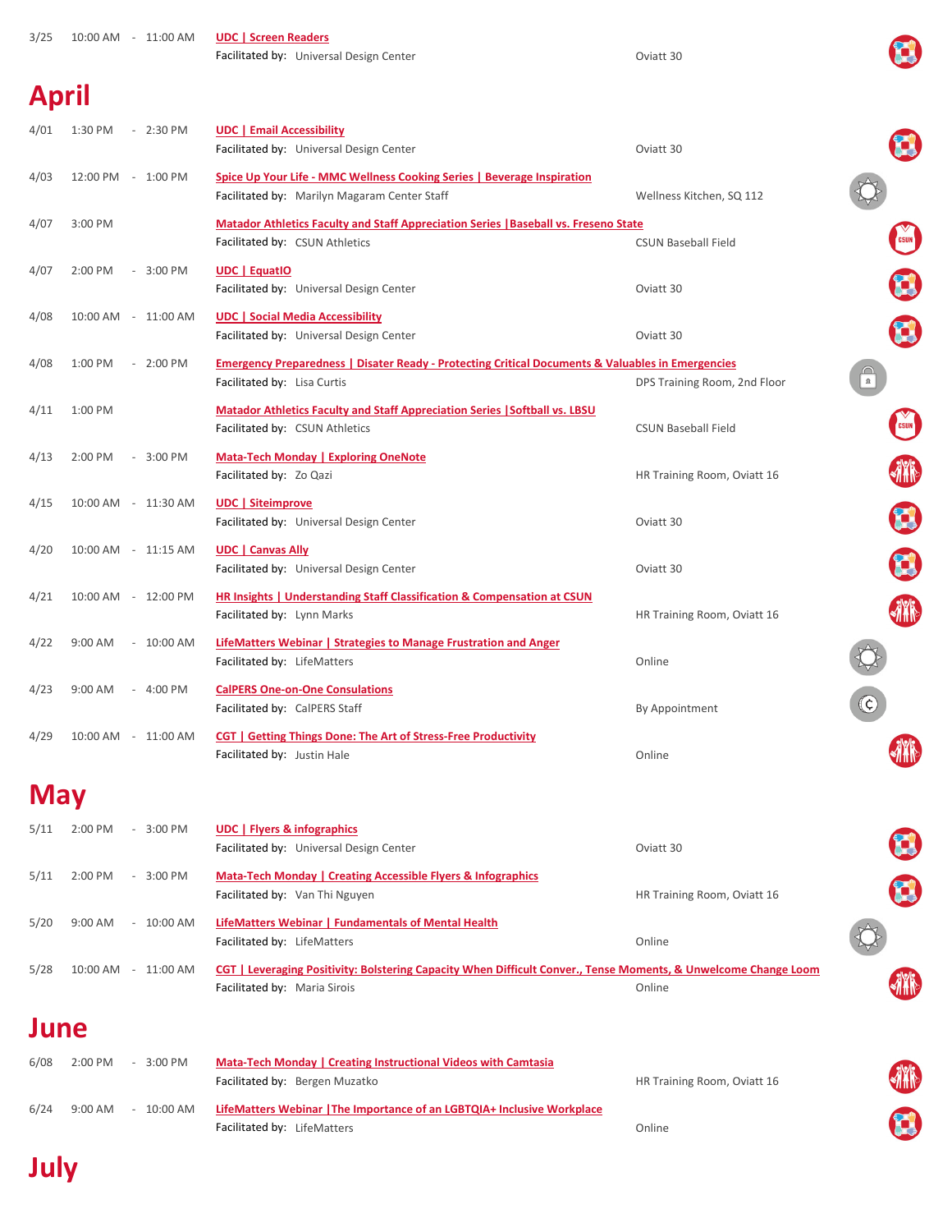| 3/25         | 10:00 AM - 11:00 AM                             | <b>UDC   Screen Readers</b><br>Facilitated by: Universal Design Center                                                                          | Oviatt 30                    |                  |
|--------------|-------------------------------------------------|-------------------------------------------------------------------------------------------------------------------------------------------------|------------------------------|------------------|
| <b>April</b> |                                                 |                                                                                                                                                 |                              |                  |
| 4/01         | 1:30 PM<br>$-2:30$ PM                           | <b>UDC   Email Accessibility</b><br>Facilitated by: Universal Design Center                                                                     | Oviatt 30                    |                  |
| 4/03         | 12:00 PM - 1:00 PM                              | <b>Spice Up Your Life - MMC Wellness Cooking Series   Beverage Inspiration</b><br>Facilitated by: Marilyn Magaram Center Staff                  | Wellness Kitchen, SQ 112     |                  |
| 4/07         | 3:00 PM                                         | <b>Matador Athletics Faculty and Staff Appreciation Series   Baseball vs. Freseno State</b><br>Facilitated by: CSUN Athletics                   | <b>CSUN Baseball Field</b>   | CSUN             |
| 4/07         | 2:00 PM<br>$-3:00$ PM                           | <b>UDC</b>   EquatIO<br>Facilitated by: Universal Design Center                                                                                 | Oviatt 30                    | q                |
| 4/08         | 10:00 AM - 11:00 AM                             | <b>UDC   Social Media Accessibility</b><br>Facilitated by: Universal Design Center                                                              | Oviatt 30                    | $\mathbf{C}$     |
| 4/08         | 1:00 PM<br>$-2:00$ PM                           | <b>Emergency Preparedness   Disater Ready - Protecting Critical Documents &amp; Valuables in Emergencies</b><br>Facilitated by: Lisa Curtis     | DPS Training Room, 2nd Floor | $\mathbf{R}$     |
| 4/11         | 1:00 PM                                         | <b>Matador Athletics Faculty and Staff Appreciation Series   Softball vs. LBSU</b><br>Facilitated by: CSUN Athletics                            | <b>CSUN Baseball Field</b>   | CSUN             |
| 4/13         | 2:00 PM<br>$-3:00$ PM                           | <b>Mata-Tech Monday   Exploring OneNote</b><br>Facilitated by: Zo Qazi                                                                          | HR Training Room, Oviatt 16  |                  |
| 4/15         | 10:00 AM - 11:30 AM                             | <b>UDC</b>   Siteimprove<br>Facilitated by: Universal Design Center                                                                             | Oviatt 30                    | $\mathbf{C}$     |
| 4/20         | 10:00 AM - 11:15 AM                             | <b>UDC</b>   Canvas Ally<br>Facilitated by: Universal Design Center                                                                             | Oviatt 30                    | 3                |
| 4/21         | 10:00 AM - 12:00 PM                             | <b>HR Insights   Understanding Staff Classification &amp; Compensation at CSUN</b><br>Facilitated by: Lynn Marks                                | HR Training Room, Oviatt 16  | <b>AYR</b>       |
| 4/22         | $-10:00$ AM<br>$9:00$ AM                        | LifeMatters Webinar   Strategies to Manage Frustration and Anger<br>Facilitated by: LifeMatters                                                 | Online                       |                  |
| 4/23         | $-4:00$ PM<br>9:00 AM                           | <b>CalPERS One-on-One Consulations</b><br>Facilitated by: CalPERS Staff                                                                         | By Appointment               | $(\mathfrak{c})$ |
| 4/29         | 10:00 AM - 11:00 AM                             | CGT   Getting Things Done: The Art of Stress-Free Productivity<br>Facilitated by: Justin Hale                                                   | Online                       |                  |
| <b>May</b>   |                                                 |                                                                                                                                                 |                              |                  |
| 5/11         | 2:00 PM<br>$-3:00$ PM                           | <b>UDC</b>   Flyers & infographics<br>Facilitated by: Universal Design Center                                                                   | Oviatt 30                    |                  |
| 5/11         | $-3:00$ PM<br>2:00 PM                           | Mata-Tech Monday   Creating Accessible Flyers & Infographics<br>Facilitated by: Van Thi Nguyen                                                  | HR Training Room, Oviatt 16  | $\mathbf{C}$     |
| 5/20         | 9:00 AM<br>10:00 AM<br>$\overline{\phantom{a}}$ | LifeMatters Webinar   Fundamentals of Mental Health<br>Facilitated by: LifeMatters                                                              | Online                       |                  |
| 5/28         | 10:00 AM - 11:00 AM                             | CGT   Leveraging Positivity: Bolstering Capacity When Difficult Conver., Tense Moments, & Unwelcome Change Loom<br>Facilitated by: Maria Sirois | Online                       |                  |
|              |                                                 |                                                                                                                                                 |                              |                  |

## **June**

| 6/08 | $2:00$ PM<br>$3:00$ PM<br>$-$                     | <b>Mata-Tech Monday   Creating Instructional Videos with Camtasia</b>   |                             |
|------|---------------------------------------------------|-------------------------------------------------------------------------|-----------------------------|
|      |                                                   | Facilitated by: Bergen Muzatko                                          | HR Training Room, Oviatt 16 |
| 6/24 | $9:00$ AM<br>10:00 AM<br>$\overline{\phantom{a}}$ | LifeMatters Webinar   The Importance of an LGBTQIA+ Inclusive Workplace |                             |
|      |                                                   | Facilitated by: LifeMatters                                             | Online                      |

排作